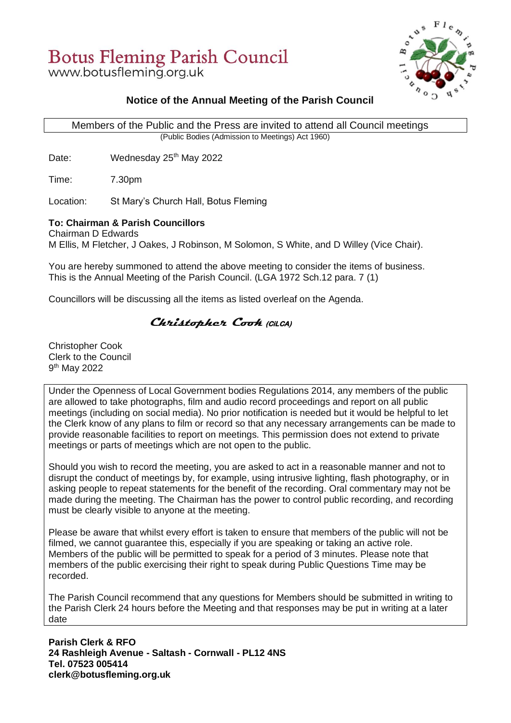# **Botus Fleming Parish Council**

www.botusfleming.org.uk



#### **Notice of the Annual Meeting of the Parish Council**

 Members of the Public and the Press are invited to attend all Council meetings (Public Bodies (Admission to Meetings) Act 1960)

Date: Wednesday 25<sup>th</sup> May 2022

Time: 7.30pm

Location: St Mary's Church Hall, Botus Fleming

#### **To: Chairman & Parish Councillors**

Chairman D Edwards M Ellis, M Fletcher, J Oakes, J Robinson, M Solomon, S White, and D Willey (Vice Chair).

You are hereby summoned to attend the above meeting to consider the items of business. This is the Annual Meeting of the Parish Council. (LGA 1972 Sch.12 para. 7 (1)

Councillors will be discussing all the items as listed overleaf on the Agenda.

#### **Christopher Cook****(CiLCA)**

Christopher Cook Clerk to the Council 9 th May 2022

Under the Openness of Local Government bodies Regulations 2014, any members of the public are allowed to take photographs, film and audio record proceedings and report on all public meetings (including on social media). No prior notification is needed but it would be helpful to let the Clerk know of any plans to film or record so that any necessary arrangements can be made to provide reasonable facilities to report on meetings. This permission does not extend to private meetings or parts of meetings which are not open to the public.

Should you wish to record the meeting, you are asked to act in a reasonable manner and not to disrupt the conduct of meetings by, for example, using intrusive lighting, flash photography, or in asking people to repeat statements for the benefit of the recording. Oral commentary may not be made during the meeting. The Chairman has the power to control public recording, and recording must be clearly visible to anyone at the meeting.

Please be aware that whilst every effort is taken to ensure that members of the public will not be filmed, we cannot guarantee this, especially if you are speaking or taking an active role. Members of the public will be permitted to speak for a period of 3 minutes. Please note that members of the public exercising their right to speak during Public Questions Time may be recorded.

The Parish Council recommend that any questions for Members should be submitted in writing to the Parish Clerk 24 hours before the Meeting and that responses may be put in writing at a later date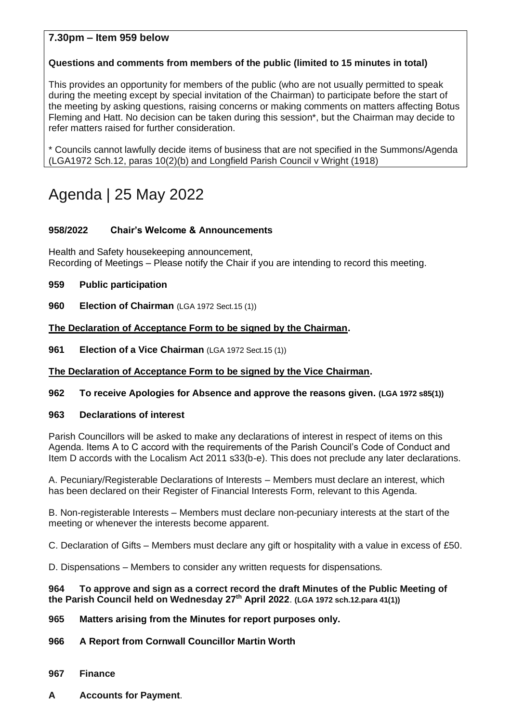#### **7.30pm – Item 959 below**

#### **Questions and comments from members of the public (limited to 15 minutes in total)**

This provides an opportunity for members of the public (who are not usually permitted to speak during the meeting except by special invitation of the Chairman) to participate before the start of the meeting by asking questions, raising concerns or making comments on matters affecting Botus Fleming and Hatt. No decision can be taken during this session\*, but the Chairman may decide to refer matters raised for further consideration.

\* Councils cannot lawfully decide items of business that are not specified in the Summons/Agenda (LGA1972 Sch.12, paras 10(2)(b) and Longfield Parish Council v Wright (1918)

# Agenda | 25 May 2022

#### **958/2022 Chair's Welcome & Announcements**

Health and Safety housekeeping announcement, Recording of Meetings – Please notify the Chair if you are intending to record this meeting.

**959 Public participation**

**960 Election of Chairman** (LGA 1972 Sect.15 (1))

**The Declaration of Acceptance Form to be signed by the Chairman.** 

**961 Election of a Vice Chairman** (LGA 1972 Sect.15 (1))

#### **The Declaration of Acceptance Form to be signed by the Vice Chairman.**

#### **962 To receive Apologies for Absence and approve the reasons given. (LGA 1972 s85(1))**

#### **963 Declarations of interest**

Parish Councillors will be asked to make any declarations of interest in respect of items on this Agenda. Items A to C accord with the requirements of the Parish Council's Code of Conduct and Item D accords with the Localism Act 2011 s33(b-e). This does not preclude any later declarations.

A. Pecuniary/Registerable Declarations of Interests – Members must declare an interest, which has been declared on their Register of Financial Interests Form, relevant to this Agenda.

B. Non-registerable Interests – Members must declare non-pecuniary interests at the start of the meeting or whenever the interests become apparent.

C. Declaration of Gifts – Members must declare any gift or hospitality with a value in excess of £50.

D. Dispensations – Members to consider any written requests for dispensations.

#### **964 To approve and sign as a correct record the draft Minutes of the Public Meeting of the Parish Council held on Wednesday 27 th April 2022**. **(LGA 1972 sch.12.para 41(1))**

#### **965 Matters arising from the Minutes for report purposes only.**

#### **966 A Report from Cornwall Councillor Martin Worth**

- **967 Finance**
- **A Accounts for Payment**.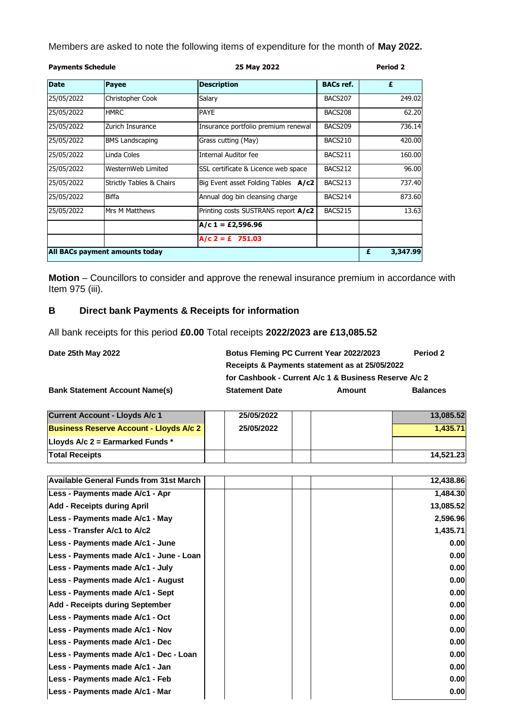Members are asked to note the following items of expenditure for the month of **May 2022.**

| <b>Payments Schedule</b> |                                | 25 May 2022                         |                  | <b>Period 2</b> |  |
|--------------------------|--------------------------------|-------------------------------------|------------------|-----------------|--|
| <b>Date</b>              | Payee                          | <b>Description</b>                  | <b>BACs ref.</b> | £               |  |
| 25/05/2022               | Christopher Cook               | Salary                              | BACS207          | 249.02          |  |
| 25/05/2022               | <b>HMRC</b>                    | PAYE                                | BACS208          | 62.20           |  |
| 25/05/2022               | Zurich Insurance               | Insurance portfolio premium renewal | BACS209          | 736.14          |  |
| 25/05/2022               | <b>BMS Landscaping</b>         | Grass cutting (May)                 | BACS210          | 420.00          |  |
| 25/05/2022               | Linda Coles                    | Internal Auditor fee                | BACS211          | 160.00          |  |
| 25/05/2022               | WesternWeb Limited             | SSL certificate & Licence web space | BACS212          | 96.00           |  |
| 25/05/2022               | Strictly Tables & Chairs       | Big Event asset Folding Tables A/c2 | BACS213          | 737.40          |  |
| 25/05/2022               | Biffa                          | Annual dog bin cleansing charge     | BACS214          | 873.60          |  |
| 25/05/2022               | Mrs M Matthews                 | Printing costs SUSTRANS report A/c2 | BACS215          | 13.63           |  |
|                          |                                | $A/c 1 = £2,596.96$                 |                  |                 |  |
|                          |                                | $A/c$ 2 = £ 751.03                  |                  |                 |  |
|                          | All BACs payment amounts today |                                     |                  | 3,347.99<br>£   |  |

**Motion** – Councillors to consider and approve the renewal insurance premium in accordance with Item 975 (iii).

#### **B Direct bank Payments & Receipts for information**

All bank receipts for this period **£0.00** Total receipts **2022/2023 are £13,085.52**

**Date 25th May 2022** 

| <b>Botus Fleming PC Current Year 2022/2023</b> | Period 2                                              |                 |  |  |  |  |
|------------------------------------------------|-------------------------------------------------------|-----------------|--|--|--|--|
| Receipts & Payments statement as at 25/05/2022 |                                                       |                 |  |  |  |  |
|                                                | for Cashbook - Current A/c 1 & Business Reserve A/c 2 |                 |  |  |  |  |
| <b>Statement Date</b>                          | Amount                                                | <b>Balances</b> |  |  |  |  |

**Bank Statement Account Name(s)** 

| <b>Current Account - Lloyds A/c 1/</b>         | 25/05/2022 |  | 13,085.52 |
|------------------------------------------------|------------|--|-----------|
| <b>Business Reserve Account - Lloyds A/c 2</b> | 25/05/2022 |  | 1.435.71  |
| Lloyds A/c 2 = Earmarked Funds *               |            |  |           |
| <b>Total Receipts</b>                          |            |  | 14.521.23 |

| Available General Funds from 31st March | 12,438.86 |
|-----------------------------------------|-----------|
| Less - Payments made A/c1 - Apr         | 1,484.30  |
| Add - Receipts during April             | 13,085.52 |
| Less - Payments made A/c1 - May         | 2,596.96  |
| Less - Transfer A/c1 to A/c2            | 1,435.71  |
| Less - Payments made A/c1 - June        | 0.00      |
| Less - Payments made A/c1 - June - Loan | 0.00      |
| Less - Payments made A/c1 - July        | 0.00      |
| Less - Payments made A/c1 - August      | 0.00      |
| Less - Payments made A/c1 - Sept        | 0.00      |
| Add - Receipts during September         | 0.00      |
| Less - Payments made A/c1 - Oct         | 0.00      |
| Less - Payments made A/c1 - Nov         | 0.00      |
| Less - Payments made A/c1 - Dec         | 0.00      |
| Less - Payments made A/c1 - Dec - Loan  | 0.00      |
| Less - Payments made A/c1 - Jan         | 0.00      |
| Less - Payments made A/c1 - Feb         | 0.00      |
| Less - Payments made A/c1 - Mar         | 0.00      |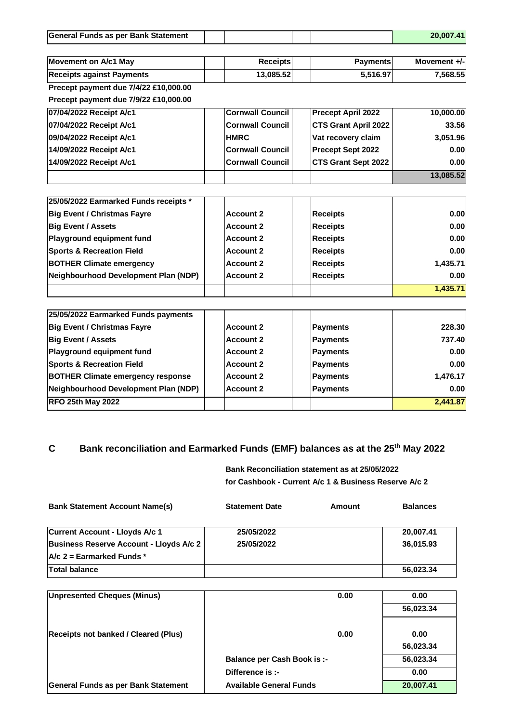| General Funds as per Bank Statement         |                         |                             | 20,007.41    |
|---------------------------------------------|-------------------------|-----------------------------|--------------|
|                                             |                         |                             |              |
| <b>Movement on A/c1 May</b>                 | <b>Receipts</b>         | <b>Payments</b>             | Movement +/- |
| <b>Receipts against Payments</b>            | 13,085.52               | 5,516.97                    | 7,568.55     |
| Precept payment due 7/4/22 £10,000.00       |                         |                             |              |
| Precept payment due 7/9/22 £10,000.00       |                         |                             |              |
| 07/04/2022 Receipt A/c1                     | <b>Cornwall Council</b> | <b>Precept April 2022</b>   | 10,000.00    |
| 07/04/2022 Receipt A/c1                     | <b>Cornwall Council</b> | <b>CTS Grant April 2022</b> | 33.56        |
| 09/04/2022 Receipt A/c1                     | <b>HMRC</b>             | Vat recovery claim          | 3,051.96     |
| 14/09/2022 Receipt A/c1                     | <b>Cornwall Council</b> | Precept Sept 2022           | 0.00         |
| 14/09/2022 Receipt A/c1                     | <b>Cornwall Council</b> | <b>CTS Grant Sept 2022</b>  | 0.00         |
|                                             |                         |                             | 13,085.52    |
|                                             |                         |                             |              |
| 25/05/2022 Earmarked Funds receipts *       |                         |                             |              |
| <b>Big Event / Christmas Fayre</b>          | <b>Account 2</b>        | <b>Receipts</b>             | 0.00         |
| <b>Big Event / Assets</b>                   | <b>Account 2</b>        | <b>Receipts</b>             | 0.00         |
| Playground equipment fund                   | <b>Account 2</b>        | <b>Receipts</b>             | 0.00         |
| <b>Sports &amp; Recreation Field</b>        | <b>Account 2</b>        | <b>Receipts</b>             | 0.00         |
| <b>BOTHER Climate emergency</b>             | <b>Account 2</b>        | <b>Receipts</b>             | 1,435.71     |
| <b>Neighbourhood Development Plan (NDP)</b> | <b>Account 2</b>        | <b>Receipts</b>             | 0.00         |
|                                             |                         |                             | 1,435.71     |
|                                             |                         |                             |              |
| 25/05/2022 Earmarked Funds payments         |                         |                             |              |
| <b>Big Event / Christmas Fayre</b>          | <b>Account 2</b>        | <b>Payments</b>             | 228.30       |
| <b>Big Event / Assets</b>                   | <b>Account 2</b>        | <b>Payments</b>             | 737.40       |
| <b>Playground equipment fund</b>            | <b>Account 2</b>        | <b>Payments</b>             | 0.00         |

|                                          | AVVVUIIL E | 11 ayıncın. | <u>v.vv</u>       |
|------------------------------------------|------------|-------------|-------------------|
| <b>Sports &amp; Recreation Field</b>     | Account 2  | Payments    | 0.00 <sub>l</sub> |
| <b>BOTHER Climate emergency response</b> | Account 2  | Payments    | 1.476.17          |
| Neighbourhood Development Plan (NDP)     | Account 2  | Payments    | 0.00              |
| <b>RFO 25th May 2022</b>                 |            |             | 2,441.87          |

### **C Bank reconciliation and Earmarked Funds (EMF) balances as at the 25th May 2022**

**Bank Reconciliation statement as at 25/05/2022 for Cashbook - Current A/c 1 & Business Reserve A/c 2**

| <b>Bank Statement Account Name(s)</b>   | <b>Statement Date</b> | Amount | <b>Balances</b> |
|-----------------------------------------|-----------------------|--------|-----------------|
| Current Account - Lloyds A/c 1          | 25/05/2022            |        | 20,007.41       |
| Business Reserve Account - Lloyds A/c 2 | 25/05/2022            |        | 36.015.93       |
| $A/c$ 2 = Earmarked Funds *             |                       |        |                 |
| <b>Total balance</b>                    |                       |        | 56,023.34       |

| Unpresented Cheques (Minus)                 | 0.00                               | 0.00      |
|---------------------------------------------|------------------------------------|-----------|
|                                             |                                    | 56,023.34 |
|                                             |                                    |           |
| <b>Receipts not banked / Cleared (Plus)</b> | 0.00                               | 0.00      |
|                                             |                                    | 56,023.34 |
|                                             | <b>Balance per Cash Book is :-</b> | 56,023.34 |
|                                             | Difference is :-                   | 0.00      |
| <b>General Funds as per Bank Statement</b>  | <b>Available General Funds</b>     | 20,007.41 |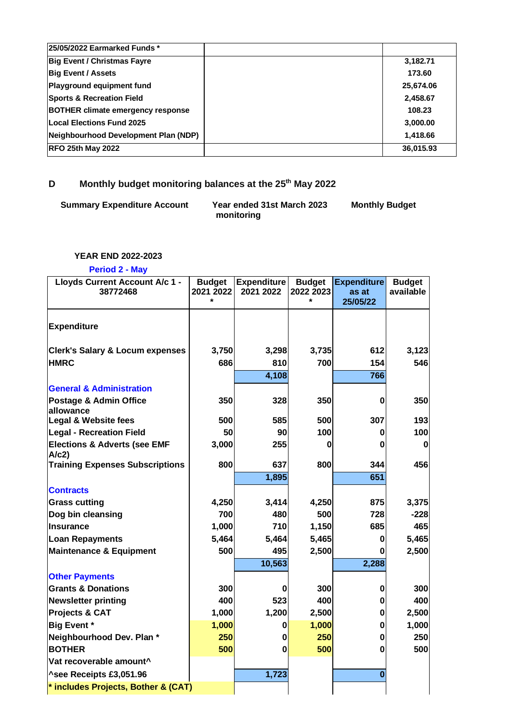| 25/05/2022 Earmarked Funds *             |           |
|------------------------------------------|-----------|
| <b>Big Event / Christmas Fayre</b>       | 3,182.71  |
| <b>Big Event / Assets</b>                | 173.60    |
| Playground equipment fund                | 25,674.06 |
| <b>Sports &amp; Recreation Field</b>     | 2,458.67  |
| <b>BOTHER climate emergency response</b> | 108.23    |
| Local Elections Fund 2025                | 3,000.00  |
| Neighbourhood Development Plan (NDP)     | 1,418.66  |
| <b>RFO 25th May 2022</b>                 | 36,015.93 |

## **D Monthly budget monitoring balances at the 25th May 2022**

| <b>Summary Expenditure Account</b> | Year ended 31st March 2023 | <b>Monthly Budget</b> |
|------------------------------------|----------------------------|-----------------------|
|                                    | monitoring                 |                       |

#### **YEAR END 2022-2023**

#### **Period 2 - May**

| Lloyds Current Account A/c 1 -<br>38772468      | <b>Budget</b><br>2021 2022<br>$\star$ | <b>Expenditure</b><br>2021 2022 | <b>Budget</b><br>2022 2023 | <b>Expenditure</b><br>as at<br>25/05/22 | <b>Budget</b><br>available |
|-------------------------------------------------|---------------------------------------|---------------------------------|----------------------------|-----------------------------------------|----------------------------|
| <b>Expenditure</b>                              |                                       |                                 |                            |                                         |                            |
| <b>Clerk's Salary &amp; Locum expenses</b>      | 3,750                                 | 3,298                           | 3,735                      | 612                                     | 3,123                      |
| <b>HMRC</b>                                     | 686                                   | 810                             | 700                        | 154                                     | 546                        |
|                                                 |                                       | 4,108                           |                            | 766                                     |                            |
| <b>General &amp; Administration</b>             |                                       |                                 |                            |                                         |                            |
| Postage & Admin Office<br>allowance             | 350                                   | 328                             | 350                        | $\bf{0}$                                | 350                        |
| <b>Legal &amp; Website fees</b>                 | 500                                   | 585                             | 500                        | 307                                     | 193                        |
| <b>Legal - Recreation Field</b>                 | 50                                    | 90                              | 100                        | 0                                       | 100                        |
| <b>Elections &amp; Adverts (see EMF</b><br>A/c2 | 3,000                                 | 255                             | Λ                          | 0                                       | 0                          |
| <b>Training Expenses Subscriptions</b>          | 800                                   | 637                             | 800                        | 344                                     | 456                        |
|                                                 |                                       | 1,895                           |                            | 651                                     |                            |
| <b>Contracts</b>                                |                                       |                                 |                            |                                         |                            |
| <b>Grass cutting</b>                            | 4,250                                 | 3,414                           | 4,250                      | 875                                     | 3,375                      |
| Dog bin cleansing                               | 700                                   | 480                             | 500                        | 728                                     | $-228$                     |
| Insurance                                       | 1,000                                 | 710                             | 1,150                      | 685                                     | 465                        |
| <b>Loan Repayments</b>                          | 5,464                                 | 5,464                           | 5,465                      | 0                                       | 5,465                      |
| <b>Maintenance &amp; Equipment</b>              | 500                                   | 495                             | 2,500                      | O                                       | 2,500                      |
|                                                 |                                       | 10,563                          |                            | 2,288                                   |                            |
| <b>Other Payments</b>                           |                                       |                                 |                            |                                         |                            |
| <b>Grants &amp; Donations</b>                   | 300                                   | $\bf{0}$                        | 300                        | $\bf{0}$                                | 300                        |
| <b>Newsletter printing</b>                      | 400                                   | 523                             | 400                        | 0                                       | 400                        |
| Projects & CAT                                  | 1,000                                 | 1,200                           | 2,500                      | $\bf{0}$                                | 2,500                      |
| <b>Big Event *</b>                              | 1,000                                 | 0                               | 1,000                      | $\bf{0}$                                | 1,000                      |
| Neighbourhood Dev. Plan *                       | 250                                   | $\bf{0}$                        | 250                        | $\mathbf 0$                             | 250                        |
| <b>BOTHER</b>                                   | 500                                   | 0                               | 500                        | 0                                       | 500                        |
| Vat recoverable amount^                         |                                       |                                 |                            |                                         |                            |
| ^see Receipts £3,051.96                         |                                       | 1,723                           |                            | $\bf{0}$                                |                            |
| $^*$ includes Projects, Bother & (CAT)          |                                       |                                 |                            |                                         |                            |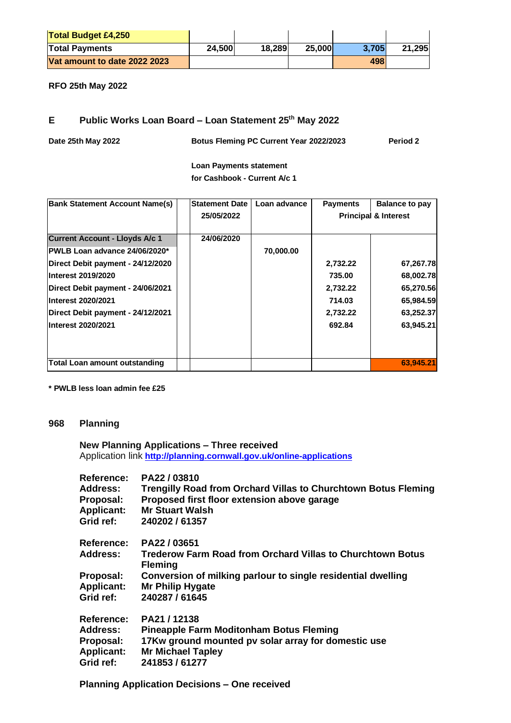| <b>Total Budget £4,250</b>   |        |        |        |       |        |
|------------------------------|--------|--------|--------|-------|--------|
| <b>Total Payments</b>        | 24,500 | 18,289 | 25,000 | 3.705 | 21,295 |
| Vat amount to date 2022 2023 |        |        |        | 498   |        |

**RFO 25th May 2022**

#### **E Public Works Loan Board – Loan Statement 25th May 2022**

| Date 25th May 2022 | Botus Fleming PC Current Year 2022/2023 | Period 2 |
|--------------------|-----------------------------------------|----------|
|                    |                                         |          |

**Loan Payments statement for Cashbook - Current A/c 1** 

| <b>Bank Statement Account Name(s)</b> | <b>Statement Date</b> | Loan advance | <b>Payments</b>                 | <b>Balance to pay</b> |
|---------------------------------------|-----------------------|--------------|---------------------------------|-----------------------|
|                                       | 25/05/2022            |              | <b>Principal &amp; Interest</b> |                       |
|                                       |                       |              |                                 |                       |
| <b>Current Account - Lloyds A/c 1</b> | 24/06/2020            |              |                                 |                       |
| PWLB Loan advance 24/06/2020*         |                       | 70,000.00    |                                 |                       |
| Direct Debit payment - 24/12/2020     |                       |              | 2,732.22                        | 67,267.78             |
| Interest 2019/2020                    |                       |              | 735.00                          | 68,002.78             |
| Direct Debit payment - 24/06/2021     |                       |              | 2,732.22                        | 65,270.56             |
| Interest 2020/2021                    |                       |              | 714.03                          | 65,984.59             |
| Direct Debit payment - 24/12/2021     |                       |              | 2,732.22                        | 63,252.37             |
| Interest 2020/2021                    |                       |              | 692.84                          | 63,945.21             |
|                                       |                       |              |                                 |                       |
|                                       |                       |              |                                 |                       |
| <b>Total Loan amount outstanding</b>  |                       |              |                                 | 63,945.21             |

**\* PWLB less loan admin fee £25**

#### **968 Planning**

#### **New Planning Applications – Three received** Application link **<http://planning.cornwall.gov.uk/online-applications>**

| PA22/03810<br><b>Trengilly Road from Orchard Villas to Churchtown Botus Fleming</b><br>Proposed first floor extension above garage<br><b>Mr Stuart Walsh</b><br>240202 / 61357 |
|--------------------------------------------------------------------------------------------------------------------------------------------------------------------------------|
| PA22 / 03651                                                                                                                                                                   |
| <b>Trederow Farm Road from Orchard Villas to Churchtown Botus</b><br><b>Fleming</b>                                                                                            |
| Conversion of milking parlour to single residential dwelling                                                                                                                   |
| <b>Mr Philip Hygate</b>                                                                                                                                                        |
| 240287 / 61645                                                                                                                                                                 |
| PA21/12138                                                                                                                                                                     |
| <b>Pineapple Farm Moditonham Botus Fleming</b>                                                                                                                                 |
| 17Kw ground mounted pv solar array for domestic use                                                                                                                            |
| <b>Mr Michael Tapley</b>                                                                                                                                                       |
| 241853 / 61277                                                                                                                                                                 |
|                                                                                                                                                                                |

**Planning Application Decisions – One received**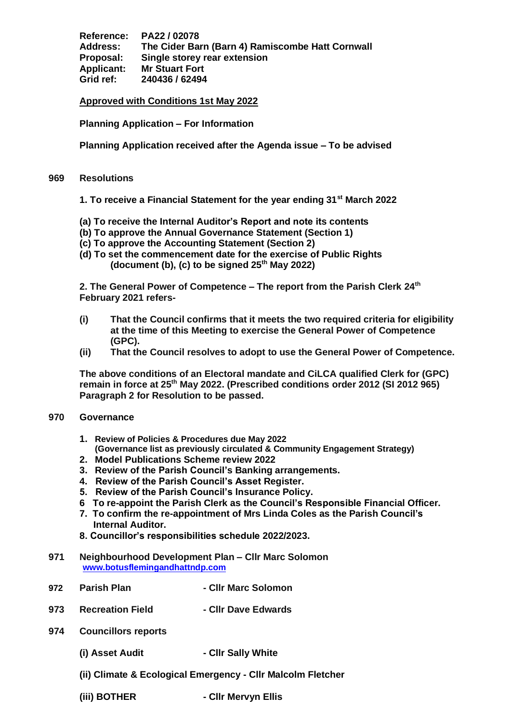**Reference: PA22 / 02078 Address: The Cider Barn (Barn 4) Ramiscombe Hatt Cornwall Proposal: Single storey rear extension Applicant: Mr Stuart Fort Grid ref: 240436 / 62494**

**Approved with Conditions 1st May 2022**

**Planning Application – For Information**

**Planning Application received after the Agenda issue – To be advised**

#### **969 Resolutions**

**1. To receive a Financial Statement for the year ending 31st March 2022**

- **(a) To receive the Internal Auditor's Report and note its contents**
- **(b) To approve the Annual Governance Statement (Section 1)**
- **(c) To approve the Accounting Statement (Section 2)**
- **(d) To set the commencement date for the exercise of Public Rights (document (b), (c) to be signed 25th May 2022)**

**2. The General Power of Competence – The report from the Parish Clerk 24th February 2021 refers-**

- **(i) That the Council confirms that it meets the two required criteria for eligibility at the time of this Meeting to exercise the General Power of Competence (GPC).**
- **(ii) That the Council resolves to adopt to use the General Power of Competence.**

**The above conditions of an Electoral mandate and CiLCA qualified Clerk for (GPC) remain in force at 25th May 2022. (Prescribed conditions order 2012 (SI 2012 965) Paragraph 2 for Resolution to be passed.**

#### **970 Governance**

- **1. Review of Policies & Procedures due May 2022 (Governance list as previously circulated & Community Engagement Strategy)**
- **2. Model Publications Scheme review 2022**
- **3. Review of the Parish Council's Banking arrangements.**
- **4. Review of the Parish Council's Asset Register.**
- **5. Review of the Parish Council's Insurance Policy.**
- **6 To re-appoint the Parish Clerk as the Council's Responsible Financial Officer.**
- **7. To confirm the re-appointment of Mrs Linda Coles as the Parish Council's Internal Auditor.**
- **8. Councillor's responsibilities schedule 2022/2023.**
- **971 Neighbourhood Development Plan – Cllr Marc Solomon [www.botusflemingandhattndp.com](http://www.botusflemingandhattndp.com/)**
- **972 Parish Plan - Cllr Marc Solomon**
- **973 Recreation Field - Cllr Dave Edwards**
- **974 Councillors reports**
	- **(i) Asset Audit**  Cllr Sally White
	- **(ii) Climate & Ecological Emergency - Cllr Malcolm Fletcher**
	-
	- **(iii) BOTHER - Cllr Mervyn Ellis**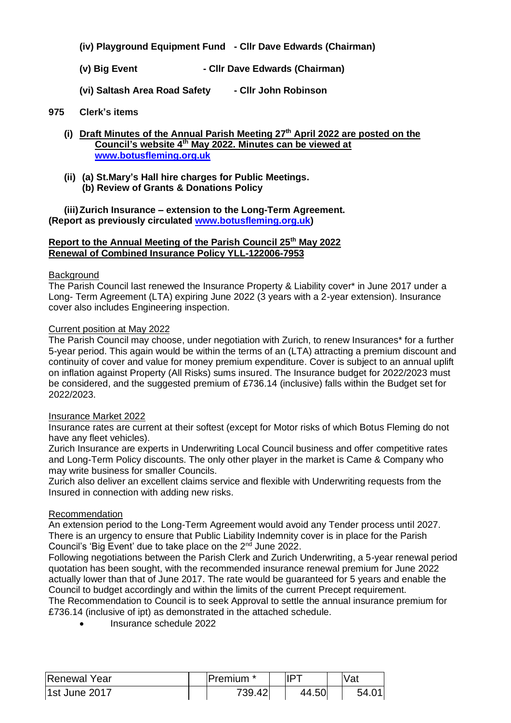- **(iv) Playground Equipment Fund - Cllr Dave Edwards (Chairman)**
- **(v) Big Event - Cllr Dave Edwards (Chairman)**
- **(vi) Saltash Area Road Safety - Cllr John Robinson**

#### **975 Clerk's items**

- **(i) Draft Minutes of the Annual Parish Meeting 27th April 2022 are posted on the Council's website 4th May 2022. Minutes can be viewed at [www.botusfleming.org.uk](http://www.botusfleming.org.uk/)**
- **(ii) (a) St.Mary's Hall hire charges for Public Meetings. (b) Review of Grants & Donations Policy**

**(iii)Zurich Insurance – extension to the Long-Term Agreement. (Report as previously circulated [www.botusfleming.org.uk\)](http://www.botusfleming.org.uk/)** 

#### **Report to the Annual Meeting of the Parish Council 25th May 2022 Renewal of Combined Insurance Policy YLL-122006-7953**

#### **Background**

The Parish Council last renewed the Insurance Property & Liability cover\* in June 2017 under a Long- Term Agreement (LTA) expiring June 2022 (3 years with a 2-year extension). Insurance cover also includes Engineering inspection.

#### Current position at May 2022

The Parish Council may choose, under negotiation with Zurich, to renew Insurances\* for a further 5-year period. This again would be within the terms of an (LTA) attracting a premium discount and continuity of cover and value for money premium expenditure. Cover is subject to an annual uplift on inflation against Property (All Risks) sums insured. The Insurance budget for 2022/2023 must be considered, and the suggested premium of £736.14 (inclusive) falls within the Budget set for 2022/2023.

#### Insurance Market 2022

Insurance rates are current at their softest (except for Motor risks of which Botus Fleming do not have any fleet vehicles).

Zurich Insurance are experts in Underwriting Local Council business and offer competitive rates and Long-Term Policy discounts. The only other player in the market is Came & Company who may write business for smaller Councils.

Zurich also deliver an excellent claims service and flexible with Underwriting requests from the Insured in connection with adding new risks.

#### Recommendation

An extension period to the Long-Term Agreement would avoid any Tender process until 2027. There is an urgency to ensure that Public Liability Indemnity cover is in place for the Parish Council's 'Big Event' due to take place on the  $2<sup>nd</sup>$  June 2022.

Following negotiations between the Parish Clerk and Zurich Underwriting, a 5-year renewal period quotation has been sought, with the recommended insurance renewal premium for June 2022 actually lower than that of June 2017. The rate would be guaranteed for 5 years and enable the Council to budget accordingly and within the limits of the current Precept requirement.

The Recommendation to Council is to seek Approval to settle the annual insurance premium for £736.14 (inclusive of ipt) as demonstrated in the attached schedule.

• Insurance schedule 2022

| Renewal Year  | Premium | דסו   | Vat  |
|---------------|---------|-------|------|
| 1st June 2017 | 739.42  | 44.50 | 54.0 |